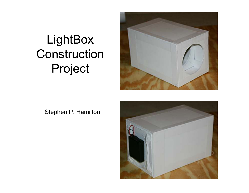# LightBox Construction Project



Stephen P. Hamilton

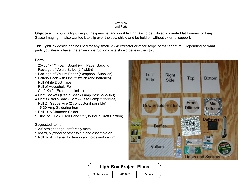## Overviewand Parts

Objective: To build a light weight, inexpensive, and durable LightBox to be utilized to create Flat Frames for DeepSpace Imaging. I also wanted it to slip over the dew shield and be held on without external support.

This LightBox design can be used for any small 3" - 4" refractor or other scope of that aperture. Depending on whatparts you already have, the entire construction costs should be less then \$20.

# Parts

- 1 20x30" x ¼" Foam Board (with Paper Backing)
- 1 Package of Velcro Strips (½" width)
- 1 Package of Vellum Paper (Scrapbook Supplies)
- 1 Battery Pack with On/Off switch (and batteries)
- 1 Roll White Duct Tape
- 1 Roll of Household Foil
- 1 Craft Knife (Exacto or similar)
- 4 Light Sockets (Radio Shack Lamp Base 272-360)
- 4 Lights (Radio Shack Screw-Base Lamp 272-1133)
- 1 Roll 24 Gauge wire (2 conductor if possible)
- 1 15-30 Amp Soldering Iron
- 1 Roll .015 Diameter Solder
- 1 Tube of Glue (I used Bond 527, found in Craft Section)

Suggested Items:

- 1 20" straight edge, preferably metal
- 1 board, plywood or other to cut and assemble on
- 1 Roll Scotch Tape (for temporary holds and vellum)



| <b>LightBox Project Plans</b> |          |        |  |
|-------------------------------|----------|--------|--|
| S Hamilton                    | 8/8/2005 | Page 2 |  |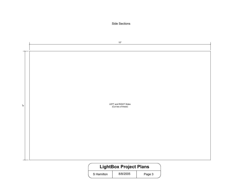Side Sections



LightBox Project Plans

S Hamilton8/8/2005 Page 3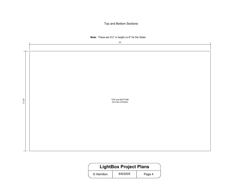Top and Bottom Sections

Note: These are 5½" in height vs 6" for the Sides



|            | <b>LightBox Project Plans</b> |        |
|------------|-------------------------------|--------|
| S Hamilton | 8/8/2005                      | Page 4 |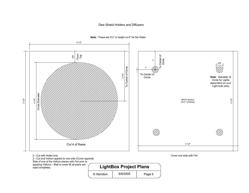Dew Shield Holders and Diffusers



Note: These are 5½" in height vs 6" for the Sides

 applying Vellum) - Wait to cover till all plans areread completely

S Hamilton 8/8/2005 Page 5 LightBox Project Plans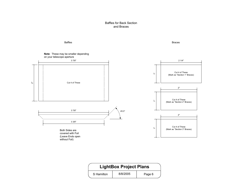## Baffles for Back Sectionand Braces



| <b>LightBox Project Plans</b> |          |        |
|-------------------------------|----------|--------|
| S Hamilton                    | 8/8/2005 | Page 6 |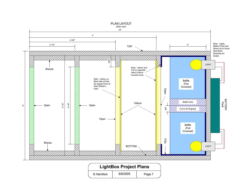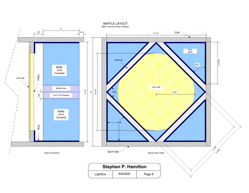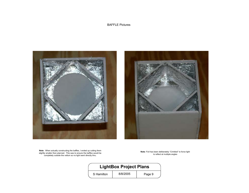## BAFFLE Pictures



Note: When actually constructing the baffles, I ended up cutting them slightly smaller then planned. This was to ensure the baffles would be completely outside the vellum so no light went directly thru.

Note: Foil has been deliberately "Crinkled" to force light to reflect at multiple angles

|            | <b>LightBox Project Plans</b> |        |  |
|------------|-------------------------------|--------|--|
| S Hamilton | 8/8/2005                      | Page 9 |  |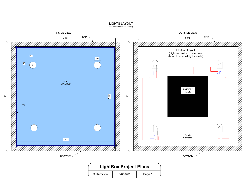# LIGHTS LAYOUT

Inside and Outside Views)

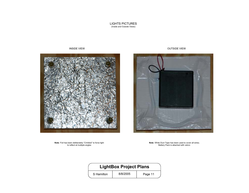## LIGHTS PICTURES(Inside and Outside Views)

## INSIDE VIEW



Note: Foil has been deliberately "Crinkled" to force light to reflect at multiple angles

OUTSIDE VIEW



Note: White Duct Tape has been used to cover all wires; Battery Pack is attached with velcro

|            | <b>LightBox Project Plans</b> |         |  |
|------------|-------------------------------|---------|--|
| S Hamilton | 8/8/2005                      | Page 11 |  |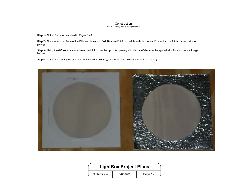Part 1 - Cutting and Building Diffusers

Step 1 - Cut all Parts as described in Pages 3 - 6

Step 2 - Cover one side of one of the Diffuser pieces with Foil; Remove Foil from middle so hole is open (Ensure that the foil is crinkled prior to gluing)

Step 3 - Using the diffuser that was covered with foil, cover the opposite opening with Vellum (Vellum can be applied with Tape as seen in image below)

Step 4 - Cover the opening on one other Diffuser with Vellum (you should have two left over without vellum)



|            | <b>LightBox Project Plans</b> |         |
|------------|-------------------------------|---------|
| S Hamilton | 8/8/2005                      | Page 12 |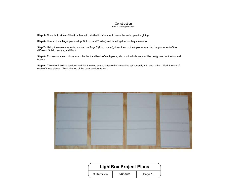#### Part 2 - Setting Up SIdes

Step 5 - Cover both sides of the 4 baffles with crinkled foil (be sure to leave the ends open for gluing)

Step 6 - Line up the 4 larger pieces (top, Bottom, and 2 sides) and tape together so they are even)

Step 7 - Using the measurements provided on Page 7 (Plan Layout), draw lines on the 4 pieces marking the placement of thediffusers, Shield holders, and Back

Step 8 - For use as you continue, mark the front and back of each piece, also mark which piece will be designated as the top andbottom

Step 9 - Take the 4 middle sections and line them up so you ensure the circles line up correctly with each other. Mark the top ofeach of these pieces. Mark the top of the back section as well.



| <b>LightBox Project Plans</b> |          |         |
|-------------------------------|----------|---------|
| S Hamilton                    | 8/8/2005 | Page 13 |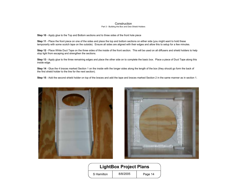#### Part 3 - Building the Box and Dew Shield Holders

Step 10 - Apply glue to the Top and Bottom sections and to three sides of the front hole piece

Step 11 - Place the front piece on one of the sides and place the top and bottom sections on either side (you might want to hold these temporarily with some scotch tape on the outside). Ensure all sides are aligned with their edges and allow this to setup for a few minutes.

Step 12 - Place White Duct Tape on the three sides of the inside of the front section. This will be used on all diffusers and shield holders to help stop light from escaping and strengthen the sections.

Step 13 - Apply glue to the three remaining edges and place the other side on to complete the basic box. Place a piece of Duct Tape along this inside edge.

Step 14 - Glue the 4 braces marked Section 1 on the inside with the longer sides along the length of the box (they should go form the back of the first shield holder to the line for the next section).

Step 15 - Add the second shield holder on top of the braces and add the tape and braces marked Section 2 in the same manner as in section 1.





| <b>LightBox Project Plans</b> |          |         |
|-------------------------------|----------|---------|
| S Hamilton                    | 8/8/2005 | Page 14 |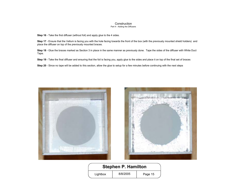#### Part 4 - Adding the Diffusers

Step 16 - Take the first diffuser (without foil) and apply glue to the 4 sides.

Step 17 - Ensure that the Vellum is facing you with the hole facing towards the front of the box (with the previously mounted shield holders) and place the diffuser on top of the previously mounted braces.

Step 18 - Glue the braces marked as Section 3 in place in the same manner as previously done. Tape the sides of the diffuser with White Duct Tape.

Step 19 - Take the final diffuser and ensuring that the foil is facing you, apply glue to the sides and place it on top of the final set of braces

Step 20 - Since no tape will be added to this section, allow the glue to setup for a few minutes before continuing with the next steps





| <b>Stephen P. Hamilton</b> |          |         |
|----------------------------|----------|---------|
| Lightbox                   | 8/8/2005 | Page 15 |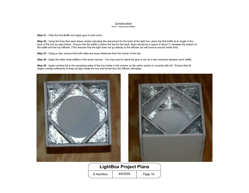#### **Construction** Part 5 - Adding the Baffles

Step 21 - Take the first Baffle and apply glue to both ends.

Step 22 - Using the lines that were drawn earlier indicating the placement for the back of the light box, place the first baffle at an angle in the back of the box as seen below. Ensure that the baffle is below the line for the back, there should be a space of about ½" between the bottom ofthe baffle and the top diffuser. (This ensures that the light does not go directly to the diffuser but will bounce around inside first)

Step 23 - Using a ruler, ensure that both sides are equal distances from the corner of the box

Step 24 - Apply the other three baffles in the same manner. You may want to allow the glue to dry for a few moments between each baffle.

Step 25 - Apply crinkled foil to the remaining sides of the box inside in the corners so the entire section is covered with foil. Ensure that all edges overlap sufficiently to keep all light inside the box and forced thru the diffuser ultimately.



| <b>LightBox Project Plans</b> |          |         |
|-------------------------------|----------|---------|
| S Hamilton                    | 8/8/2005 | Page 16 |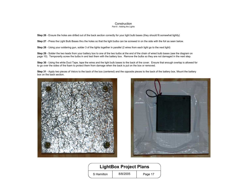#### Part 6 - Adding the Lights

Step 26 - Ensure the holes are drilled out of the back section correctly for your light bulb bases (they should fit somewhat tightly)

Step 27 - Press the Light Bulb Bases thru the holes so that the light bulbs can be screwed in on the side with the foil as seen below.

Step 28 - Using your soldering gun, solder 3 of the lights together in parallel (2 wires from each light go to the next light)

Step 29 - Solder the two leads from your battery box to one of the two bulbs at the end of the chain of wired bulb bases (see the diagram on page 10). Temporarily screw the bulbs in and test them with the battery box. Remove the bulbs so they are not damaged in the next step.

Step 30 - Using the white Duct Tape, tape the wires and the light bulb bases to the back of the cover. Ensure that enough overlap is allowed for to go over the sides of the foam to protect them from damage when the back is put on the box or removed.

Step 31 - Apply two pieces of Velcro to the back of the box (centered) and the opposite pieces to the back of the battery box. Mount the battery box on the back section.





| <b>LightBox Project Plans</b> |          |         |
|-------------------------------|----------|---------|
| S Hamilton                    | 8/8/2005 | Page 17 |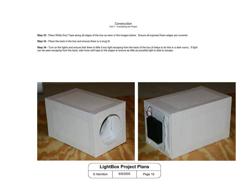#### Part 7 - Completing the Project

Step 32 - Place White Duct Tape along all edges of the box as seen in the images below. Ensure all exposed foam edges are covered.

Step 33 - Place the back in the box and ensure there is a snug fit.

**Step 34** - Turn on the lights and ensure that there is little if any light escaping from the back of the box (it helps to do this in a dark room). If light<br>can be seen escaping from the back, add more whit tape to the ed



| <b>LightBox Project Plans</b> |          |         |  |
|-------------------------------|----------|---------|--|
| S Hamilton                    | 8/8/2005 | Page 18 |  |